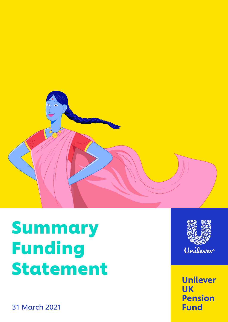

# Summary Funding Statement



**Unilever UK Pension Fund** 

31 March 2021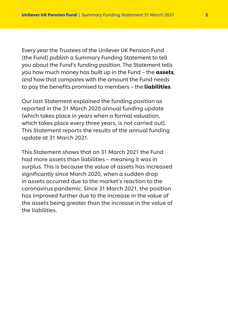Every year the Trustees of the Unilever UK Pension Fund (the Fund) publish a Summary Funding Statement to tell you about the Fund's funding position. The Statement tells you how much money has built up in the Fund - the assets, and how that compares with the amount the Fund needs to pay the benefits promised to members - the **liabilities**.

Our last Statement explained the funding position as reported in the 31 March 2020 annual funding update (which takes place in years when a formal valuation, which takes place every three years, is not carried out). This Statement reports the results of the annual funding update at 31 March 2021.

This Statement shows that on 31 March 2021 the Fund had more assets than liabilities – meaning it was in surplus. This is because the value of assets has increased significantly since March 2020, when a sudden drop in assets occurred due to the market's reaction to the coronavirus pandemic. Since 31 March 2021, the position has improved further due to the increase in the value of the assets being greater than the increase in the value of the liabilities.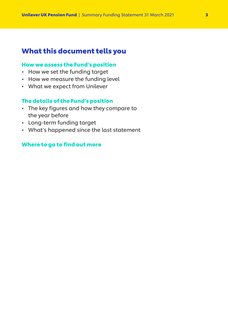# What this document tells you

## [How we assess the Fund's position](#page-3-0)

- How we set the funding target
- How we measure the funding level
- What we expect from Unilever

## [The details of the Fund's position](#page-4-0)

- The key figures and how they compare to the year before
- Long-term funding target
- What's happened since the last statement

## [Where to go to find out more](#page-6-0)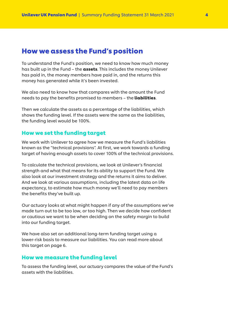## <span id="page-3-0"></span>How we assess the Fund's position

To understand the Fund's position, we need to know how much money has built up in the Fund – the **assets**. This includes the money Unilever has paid in, the money members have paid in, and the returns this money has generated while it's been invested.

We also need to know how that compares with the amount the Fund needs to pay the benefits promised to members – the **liabilities**.

Then we calculate the assets as a percentage of the liabilities, which shows the funding level. If the assets were the same as the liabilities, the funding level would be 100%.

## How we set the funding target

We work with Unilever to agree how we measure the Fund's liabilities known as the "technical provisions". At first, we work towards a funding target of having enough assets to cover 100% of the technical provisions.

To calculate the technical provisions, we look at Unilever's financial strength and what that means for its ability to support the Fund. We also look at our investment strategy and the returns it aims to deliver. And we look at various assumptions, including the latest data on life expectancy, to estimate how much money we'll need to pay members the benefits they've built up.

Our actuary looks at what might happen if any of the assumptions we've made turn out to be too low, or too high. Then we decide how confident or cautious we want to be when deciding on the safety margin to build into our funding target.

We have also set an additional long-term funding target using a lower-risk basis to measure our liabilities. You can read more about this target on [page 6](#page-5-0).

## How we measure the funding level

To assess the funding level, our actuary compares the value of the Fund's assets with the liabilities.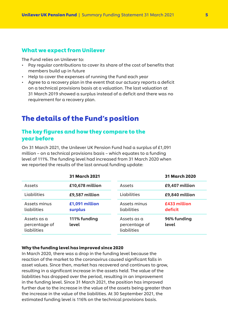## <span id="page-4-0"></span>What we expect from Unilever

The Fund relies on Unilever to:

- Pay regular contributions to cover its share of the cost of benefits that members build up in future
- Help to cover the expenses of running the Fund each year
- Agree to a recovery plan in the event that our actuary reports a deficit on a technical provisions basis at a valuation. The last valuation at 31 March 2019 showed a surplus instead of a deficit and there was no requirement for a recovery plan.

# The details of the Fund's position

## The key figures and how they compare to the year before

On 31 March 2021, the Unilever UK Pension Fund had a surplus of £1,091 million – on a technical provisions basis – which equates to a funding level of 111%. The funding level had increased from 31 March 2020 when we reported the results of the last annual funding update:

|                                             | <b>31 March 2021</b>      |                                             | <b>31 March 2020</b>    |
|---------------------------------------------|---------------------------|---------------------------------------------|-------------------------|
| Assets                                      | £10,678 million           | Assets                                      | £9,407 million          |
| Liabilities                                 | £9,587 million            | Liabilities                                 | £9,840 million          |
| Assets minus<br>liabilities                 | £1,091 million<br>surplus | Assets minus<br>liabilities                 | £433 million<br>deficit |
| Assets as a<br>percentage of<br>liabilities | 111% funding<br>level     | Assets as a<br>percentage of<br>liabilities | 96% funding<br>level    |

#### Why the funding level has improved since 2020

In March 2020, there was a drop in the funding level because the reaction of the market to the coronavirus caused significant falls in asset values. Since then, market has recovered and continues to grow, resulting in a significant increase in the assets held. The value of the liabilities has dropped over the period, resulting in an improvement in the funding level. Since 31 March 2021, the position has improved further due to the increase in the value of the assets being greater than the increase in the value of the liabilities. At 30 September 2021, the estimated funding level is 116% on the technical provisions basis.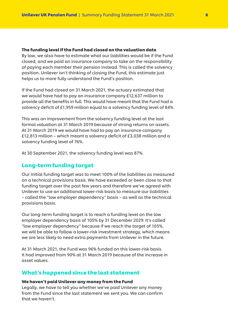#### <span id="page-5-0"></span>The funding level if the Fund had closed on the valuation date

By law, we also have to estimate what our liabilities would be if the Fund closed, and we paid an insurance company to take on the responsibility of paying each member their pension instead. This is called the solvency position. Unilever isn't thinking of closing the Fund, this estimate just helps us to more fully understand the Fund's position.

If the Fund had closed on 31 March 2021, the actuary estimated that we would have had to pay an insurance company £12,637 million to provide all the benefits in full. This would have meant that the Fund had a solvency deficit of £1,959 million equal to a solvency funding level of 84%.

This was an improvement from the solvency funding level at the last formal valuation at 31 March 2019 because of strong returns on assets. At 31 March 2019 we would have had to pay an insurance company £12,813 million – which meant a solvency deficit of £3,038 million and a solvency funding level of 76%.

At 30 September 2021, the solvency funding level was 87%.

## Long-term funding target

Our initial funding target was to meet 100% of the liabilities as measured on a technical provisions basis. We have exceeded or been close to that funding target over the past few years and therefore we've agreed with Unilever to use an additional lower-risk basis to measure our liabilities – called the "low employer dependency" basis – as well as the technical provisions basis.

Our long-term funding target is to reach a funding level on the low employer dependency basis of 105% by 31 December 2029. It's called "low employer dependency" because if we reach the target of 105%, we will be able to follow a lower-risk investment strategy, which means we are less likely to need extra payments from Unilever in the future.

At 31 March 2021, the Fund was 96% funded on this lower-risk basis. It had improved from 90% at 31 March 2019 because of the increase in asset values.

#### What's happened since the last statement

#### We haven't paid Unilever any money from the Fund

Legally, we have to tell you whether we've paid Unilever any money from the Fund since the last statement we sent you. We can confirm that we haven't.